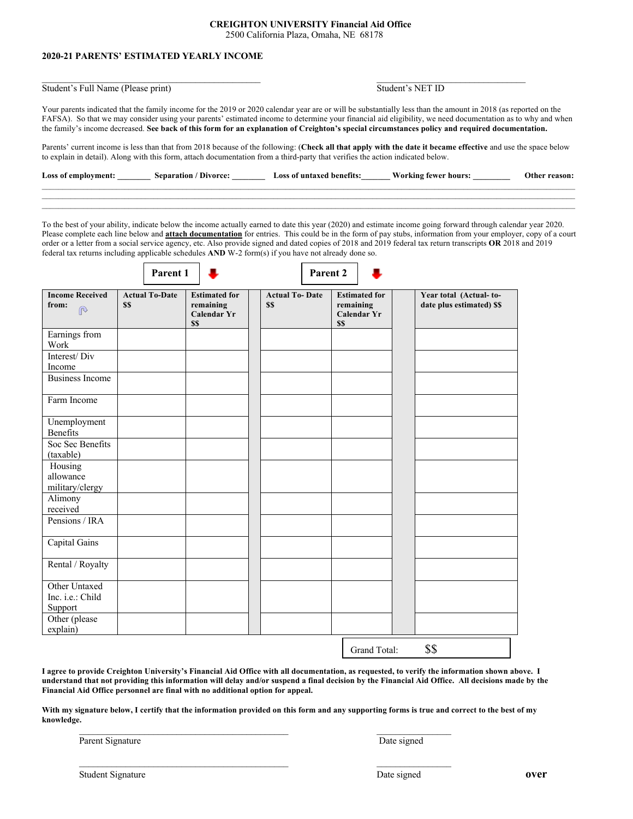## **CREIGHTON UNIVERSITY Financial Aid Office**

2500 California Plaza, Omaha, NE 68178

## **2020-21 PARENTS' ESTIMATED YEARLY INCOME**

Student's Full Name (Please print) Student's NET ID

 $\mathcal{L}_\text{max}$ 

Your parents indicated that the family income for the 2019 or 2020 calendar year are or will be substantially less than the amount in 2018 (as reported on the FAFSA). So that we may consider using your parents' estimated income to determine your financial aid eligibility, we need documentation as to why and when the family's income decreased. **See back of this form for an explanation of Creighton's special circumstances policy and required documentation.**

Parents' current income is less than that from 2018 because of the following: (**Check all that apply with the date it became effective** and use the space below to explain in detail). Along with this form, attach documentation from a third-party that verifies the action indicated below.

| Loss of | Senaration | Loss of untaxed<br>benetīts | - hours<br>tewer | <b>Other</b><br>reason: |
|---------|------------|-----------------------------|------------------|-------------------------|
|         |            |                             |                  |                         |

To the best of your ability, indicate below the income actually earned to date this year (2020) and estimate income going forward through calendar year 2020. Please complete each line below and **attach documentation** for entries. This could be in the form of pay stubs, information from your employer, copy of a court order or a letter from a social service agency, etc. Also provide signed and dated copies of 2018 and 2019 federal tax return transcripts **OR** 2018 and 2019 federal tax returns including applicable schedules **AND** W-2 form(s) if you have not already done so.

| Parent 1 |  |
|----------|--|
|          |  |



| <b>Income Received</b><br>from:<br>$\mathbb{R}$ | <b>Actual To-Date</b><br>\$\$ | <b>Estimated for</b><br>remaining<br><b>Calendar Yr</b><br>\$\$ | <b>Actual To-Date</b><br>\$\$ | <b>Estimated for</b><br>remaining<br><b>Calendar Yr</b><br>\$\$ | Year total (Actual-to-<br>date plus estimated) \$\$ |
|-------------------------------------------------|-------------------------------|-----------------------------------------------------------------|-------------------------------|-----------------------------------------------------------------|-----------------------------------------------------|
| Earnings from<br>Work                           |                               |                                                                 |                               |                                                                 |                                                     |
| Interest/Div<br>Income                          |                               |                                                                 |                               |                                                                 |                                                     |
| <b>Business Income</b>                          |                               |                                                                 |                               |                                                                 |                                                     |
| Farm Income                                     |                               |                                                                 |                               |                                                                 |                                                     |
| Unemployment<br>Benefits                        |                               |                                                                 |                               |                                                                 |                                                     |
| Soc Sec Benefits<br>(taxable)                   |                               |                                                                 |                               |                                                                 |                                                     |
| Housing<br>allowance<br>military/clergy         |                               |                                                                 |                               |                                                                 |                                                     |
| Alimony<br>received                             |                               |                                                                 |                               |                                                                 |                                                     |
| Pensions / IRA                                  |                               |                                                                 |                               |                                                                 |                                                     |
| Capital Gains                                   |                               |                                                                 |                               |                                                                 |                                                     |
| Rental / Royalty                                |                               |                                                                 |                               |                                                                 |                                                     |
| Other Untaxed<br>Inc. i.e.: Child<br>Support    |                               |                                                                 |                               |                                                                 |                                                     |
| Other (please<br>explain)                       |                               |                                                                 |                               |                                                                 |                                                     |
|                                                 |                               |                                                                 |                               | Grand Total:                                                    | \$\$                                                |

**I agree to provide Creighton University's Financial Aid Office with all documentation, as requested, to verify the information shown above. I understand that not providing this information will delay and/or suspend a final decision by the Financial Aid Office. All decisions made by the Financial Aid Office personnel are final with no additional option for appeal.**

**With my signature below, I certify that the information provided on this form and any supporting forms is true and correct to the best of my knowledge.**

 $\mathcal{L}_\text{max}$ 

Parent Signature Date signed

Student Signature **over over over over over over**